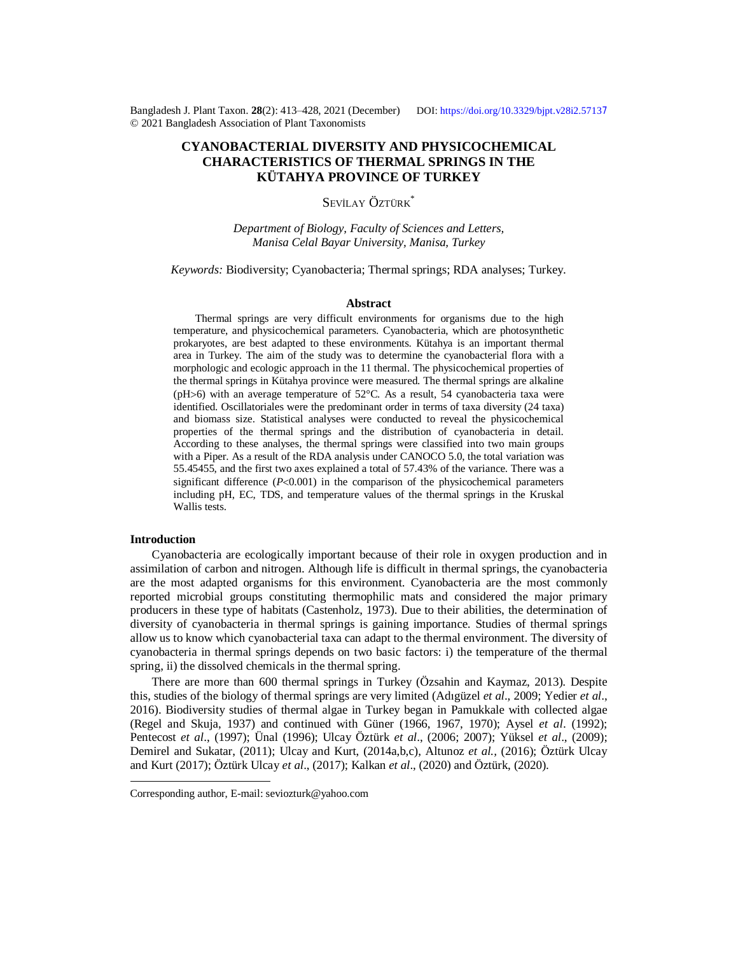Bangladesh J. Plant Taxon. **28**(2): 413‒428, 2021 (December) DOI:<https://doi.org/10.3329/bjpt.v28i2.5713>7 © 2021 Bangladesh Association of Plant Taxonomists

# **CYANOBACTERIAL DIVERSITY AND PHYSICOCHEMICAL CHARACTERISTICS OF THERMAL SPRINGS IN THE KÜTAHYA PROVINCE OF TURKEY**

# SEVİLAY ÖZTÜRK<sup>\*</sup>

*Department of Biology, Faculty of Sciences and Letters, Manisa Celal Bayar University, Manisa, Turkey*

*Keywords:* Biodiversity; Cyanobacteria; Thermal springs; RDA analyses; Turkey.

#### **Abstract**

Thermal springs are very difficult environments for organisms due to the high temperature, and physicochemical parameters. Cyanobacteria, which are photosynthetic prokaryotes, are best adapted to these environments. Kütahya is an important thermal area in Turkey. The aim of the study was to determine the cyanobacterial flora with a morphologic and ecologic approach in the 11 thermal. The physicochemical properties of the thermal springs in Kütahya province were measured. The thermal springs are alkaline (pH $>6$ ) with an average temperature of  $52^{\circ}$ C. As a result, 54 cyanobacteria taxa were identified. Oscillatoriales were the predominant order in terms of taxa diversity (24 taxa) and biomass size. Statistical analyses were conducted to reveal the physicochemical properties of the thermal springs and the distribution of cyanobacteria in detail. According to these analyses, the thermal springs were classified into two main groups with a Piper. As a result of the RDA analysis under CANOCO 5.0, the total variation was 55.45455, and the first two axes explained a total of 57.43% of the variance. There was a significant difference  $(P<0.001)$  in the comparison of the physicochemical parameters including pH, EC, TDS, and temperature values of the thermal springs in the Kruskal Wallis tests.

# **Introduction**

Cyanobacteria are ecologically important because of their role in oxygen production and in assimilation of carbon and nitrogen. Although life is difficult in thermal springs, the cyanobacteria are the most adapted organisms for this environment. Cyanobacteria are the most commonly reported microbial groups constituting thermophilic mats and considered the major primary producers in these type of habitats (Castenholz, 1973). Due to their abilities, the determination of diversity of cyanobacteria in thermal springs is gaining importance. Studies of thermal springs allow us to know which cyanobacterial taxa can adapt to the thermal environment. The diversity of cyanobacteria in thermal springs depends on two basic factors: i) the temperature of the thermal spring, ii) the dissolved chemicals in the thermal spring.

There are more than 600 thermal springs in Turkey (Özsahin and Kaymaz, 2013). Despite this, studies of the biology of thermal springs are very limited (Adıgüzel *et al*., 2009; Yedier *et al*., 2016). Biodiversity studies of thermal algae in Turkey began in Pamukkale with collected algae (Regel and Skuja, 1937) and continued with Güner (1966, 1967, 1970); Aysel *et al*. (1992); Pentecost *et al*., (1997); Ünal (1996); Ulcay Öztürk *et al*., (2006; 2007); Yüksel *et al*., (2009); Demirel and Sukatar, (2011); Ulcay and Kurt, (2014a,b,c), Altunoz *et al.,* (2016); Öztürk Ulcay and Kurt (2017); Öztürk Ulcay *et al*., (2017); Kalkan *et al*., (2020) and Öztürk, (2020).

Corresponding author, E-mail: [seviozturk@yahoo.com](mailto:seviozturk@yahoo.com)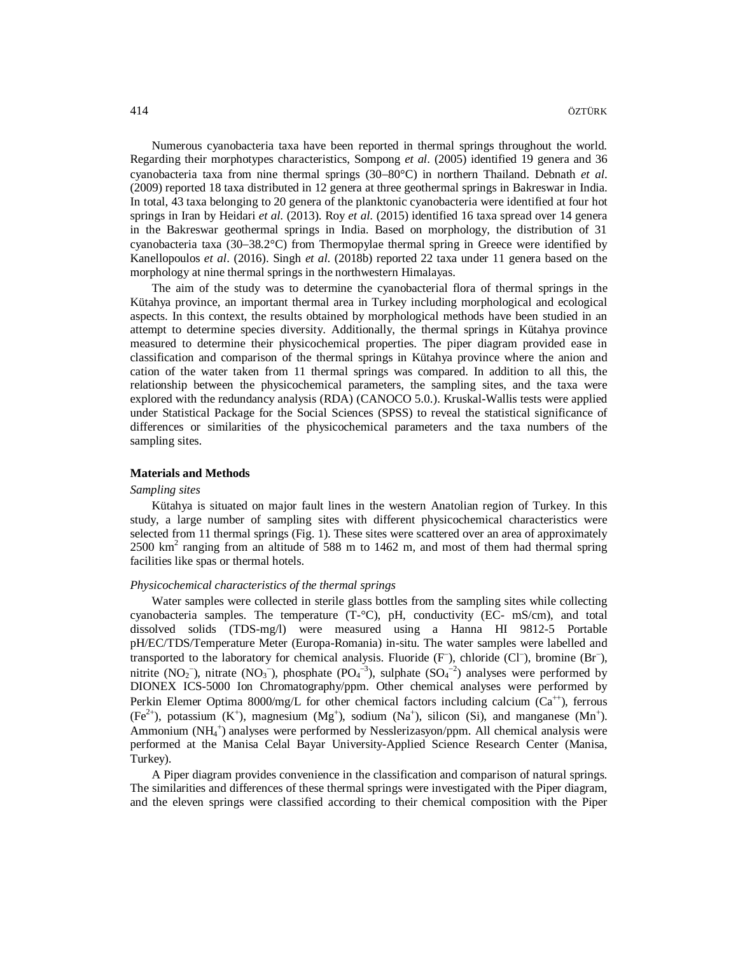Numerous cyanobacteria taxa have been reported in thermal springs throughout the world. Regarding their morphotypes characteristics, Sompong *et al*. (2005) identified 19 genera and 36 cyanobacteria taxa from nine thermal springs (30–80°C) in northern Thailand. Debnath *et al.* (2009) reported 18 taxa distributed in 12 genera at three geothermal springs in Bakreswar in India. In total, 43 taxa belonging to 20 genera of the planktonic cyanobacteria were identified at four hot springs in Iran by Heidari *et al*. (2013). Roy *et al*. (2015) identified 16 taxa spread over 14 genera in the Bakreswar geothermal springs in India. Based on morphology, the distribution of 31 cyanobacteria taxa (30–38.2°C) from Thermopylae thermal spring in Greece were identified by Kanellopoulos *et al*. (2016). Singh *et al*. (2018b) reported 22 taxa under 11 genera based on the morphology at nine thermal springs in the northwestern Himalayas.

The aim of the study was to determine the cyanobacterial flora of thermal springs in the Kütahya province, an important thermal area in Turkey including morphological and ecological aspects. In this context, the results obtained by morphological methods have been studied in an attempt to determine species diversity. Additionally, the thermal springs in Kütahya province measured to determine their physicochemical properties. The piper diagram provided ease in classification and comparison of the thermal springs in Kütahya province where the anion and cation of the water taken from 11 thermal springs was compared. In addition to all this, the relationship between the physicochemical parameters, the sampling sites, and the taxa were explored with the redundancy analysis (RDA) (CANOCO 5.0.). Kruskal-Wallis tests were applied under Statistical Package for the Social Sciences (SPSS) to reveal the statistical significance of differences or similarities of the physicochemical parameters and the taxa numbers of the sampling sites.

#### **Materials and Methods**

# *Sampling sites*

Kütahya is situated on major fault lines in the western Anatolian region of Turkey. In this study, a large number of sampling sites with different physicochemical characteristics were selected from 11 thermal springs (Fig. 1). These sites were scattered over an area of approximately 2500 km<sup>2</sup> ranging from an altitude of 588 m to 1462 m, and most of them had thermal spring facilities like spas or thermal hotels.

#### *Physicochemical characteristics of the thermal springs*

Water samples were collected in sterile glass bottles from the sampling sites while collecting cyanobacteria samples. The temperature  $(T^{-\circ}C)$ , pH, conductivity  $(EC^{-}$  mS/cm), and total dissolved solids (TDS-mg/l) were measured using a Hanna HI 9812-5 Portable pH/EC/TDS/Temperature Meter (Europa-Romania) in-situ. The water samples were labelled and transported to the laboratory for chemical analysis. Fluoride (F), chloride (Cl<sup>-</sup>), bromine (Br<sup>-</sup>), nitrite (NO<sub>2</sub><sup>-</sup>), nitrate (NO<sub>3</sub><sup>-</sup>), phosphate (PO<sub>4</sub><sup>-3</sup>), sulphate (SO<sub>4</sub><sup>-2</sup>) analyses were performed by DIONEX ICS-5000 Ion Chromatography/ppm. Other chemical analyses were performed by Perkin Elemer Optima 8000/mg/L for other chemical factors including calcium  $(Ca^{+})$ , ferrous  $(Fe^{2+})$ , potassium  $(K^+)$ , magnesium  $(Mg^+)$ , sodium  $(Na^+)$ , silicon  $(Si)$ , and manganese  $(Mn^+)$ . Ammonium (NH<sup>4</sup> ) analyses were performed by Nesslerizasyon/ppm. All chemical analysis were performed at the Manisa Celal Bayar University-Applied Science Research Center (Manisa, Turkey).

A Piper diagram provides convenience in the classification and comparison of natural springs. The similarities and differences of these thermal springs were investigated with the Piper diagram, and the eleven springs were classified according to their chemical composition with the Piper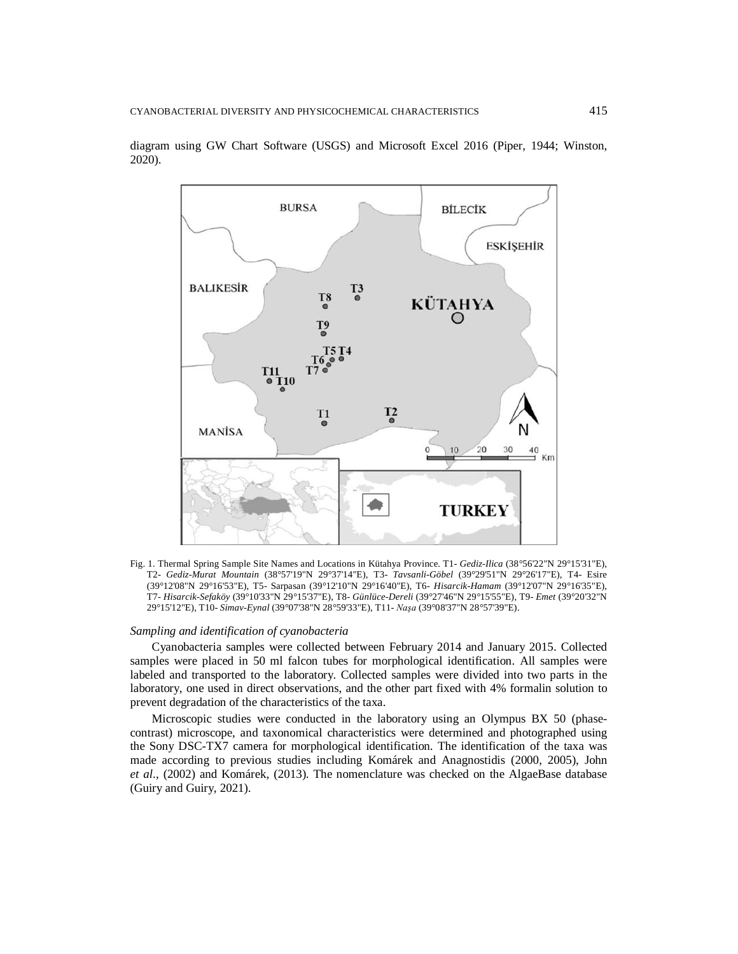

diagram using GW Chart Software (USGS) and Microsoft Excel 2016 (Piper, 1944; Winston, 2020).

Fig. 1. Thermal Spring Sample Site Names and Locations in Kütahya Province*.* T1- *Gediz-Ilica* (38°56'22"N 29°15'31"E), T2- *Gediz-Murat Mountain* (38°57'19"N 29°37'14"E), T3- *Tavsanli-Göbel* (39°29'51"N 29°26'17"E), T4- Esire (39°12'08"N 29°16'53"E), T5- Sarpasan (39°12'10"N 29°16'40"E), T6- *Hisarcik-Hamam* (39°12'07"N 29°16'35"E), T7- *Hisarcik-Sefaköy* (39°10'33"N 29°15'37"E), T8- *Günlüce-Dereli* (39°27'46"N 29°15'55"E), T9- *Emet* (39°20'32"N 29°15'12"E), T10- *Simav-Eynal* (39°07'38"N 28°59'33"E), T11- *Naşa* (39°08'37"N 28°57'39"E).

#### *Sampling and identification of cyanobacteria*

Cyanobacteria samples were collected between February 2014 and January 2015. Collected samples were placed in 50 ml falcon tubes for morphological identification. All samples were labeled and transported to the laboratory. Collected samples were divided into two parts in the laboratory, one used in direct observations, and the other part fixed with 4% formalin solution to prevent degradation of the characteristics of the taxa.

Microscopic studies were conducted in the laboratory using an Olympus BX 50 (phasecontrast) microscope, and taxonomical characteristics were determined and photographed using the Sony DSC-TX7 camera for morphological identification. The identification of the taxa was made according to previous studies including Komárek and Anagnostidis (2000, 2005), John *et al*., (2002) and Komárek, (2013). The nomenclature was checked on the AlgaeBase database (Guiry and Guiry, 2021).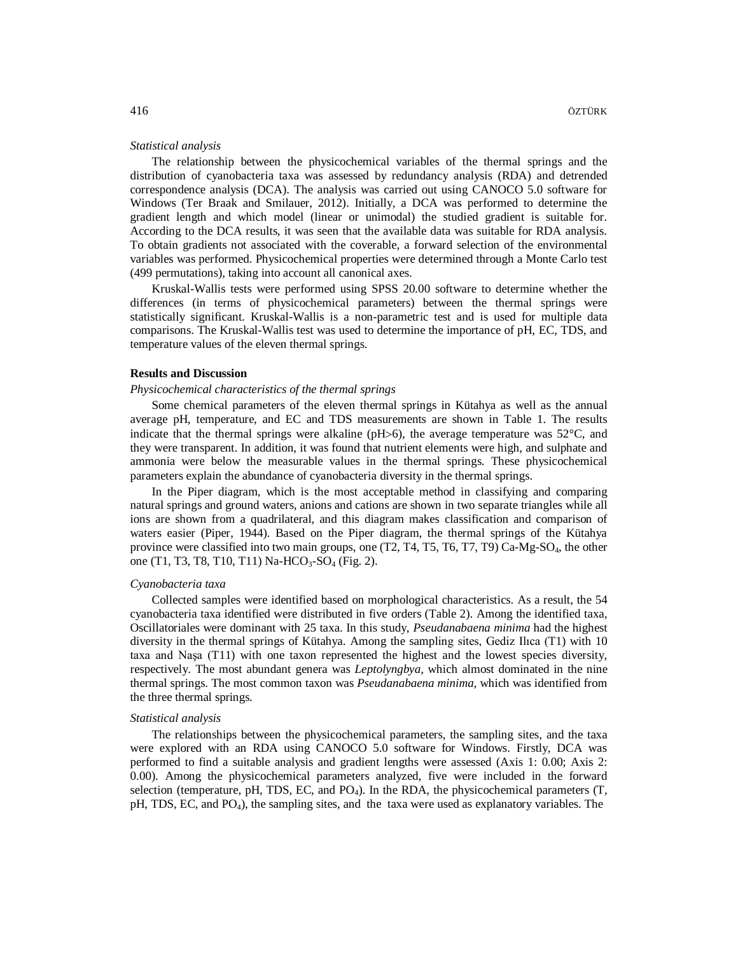# *Statistical analysis*

The relationship between the physicochemical variables of the thermal springs and the distribution of cyanobacteria taxa was assessed by redundancy analysis (RDA) and detrended correspondence analysis (DCA). The analysis was carried out using CANOCO 5.0 software for Windows (Ter Braak and Smilauer, 2012). Initially, a DCA was performed to determine the gradient length and which model (linear or unimodal) the studied gradient is suitable for. According to the DCA results, it was seen that the available data was suitable for RDA analysis. To obtain gradients not associated with the coverable, a forward selection of the environmental variables was performed. Physicochemical properties were determined through a Monte Carlo test (499 permutations), taking into account all canonical axes.

Kruskal-Wallis tests were performed using SPSS 20.00 software to determine whether the differences (in terms of physicochemical parameters) between the thermal springs were statistically significant. Kruskal-Wallis is a non-parametric test and is used for multiple data comparisons. The Kruskal-Wallis test was used to determine the importance of pH, EC, TDS, and temperature values of the eleven thermal springs.

# **Results and Discussion**

# *Physicochemical characteristics of the thermal springs*

Some chemical parameters of the eleven thermal springs in Kütahya as well as the annual average pH, temperature, and EC and TDS measurements are shown in Table 1. The results indicate that the thermal springs were alkaline ( $pH>6$ ), the average temperature was  $52^{\circ}$ C, and they were transparent. In addition, it was found that nutrient elements were high, and sulphate and ammonia were below the measurable values in the thermal springs. These physicochemical parameters explain the abundance of cyanobacteria diversity in the thermal springs.

In the Piper diagram, which is the most acceptable method in classifying and comparing natural springs and ground waters, anions and cations are shown in two separate triangles while all ions are shown from a quadrilateral, and this diagram makes classification and comparison of waters easier (Piper, 1944). Based on the Piper diagram, the thermal springs of the Kütahya province were classified into two main groups, one (T2, T4, T5, T6, T7, T9) Ca-Mg-SO<sub>4</sub>, the other one (T1, T3, T8, T10, T11) Na-HCO<sub>3</sub>-SO<sub>4</sub> (Fig. 2).

#### *Cyanobacteria taxa*

Collected samples were identified based on morphological characteristics. As a result, the 54 cyanobacteria taxa identified were distributed in five orders (Table 2). Among the identified taxa, Oscillatoriales were dominant with 25 taxa. In this study, *Pseudanabaena minima* had the highest diversity in the thermal springs of Kütahya. Among the sampling sites, Gediz Ilıca (T1) with 10 taxa and Naşa (T11) with one taxon represented the highest and the lowest species diversity, respectively. The most abundant genera was *Leptolyngbya,* which almost dominated in the nine thermal springs. The most common taxon was *Pseudanabaena minima,* which was identified from the three thermal springs.

#### *Statistical analysis*

The relationships between the physicochemical parameters, the sampling sites, and the taxa were explored with an RDA using CANOCO 5.0 software for Windows. Firstly, DCA was performed to find a suitable analysis and gradient lengths were assessed (Axis 1: 0.00; Axis 2: 0.00). Among the physicochemical parameters analyzed, five were included in the forward selection (temperature, pH, TDS, EC, and  $PQ_4$ ). In the RDA, the physicochemical parameters  $(T,$  $pH$ , TDS, EC, and PO<sub>4</sub>), the sampling sites, and the taxa were used as explanatory variables. The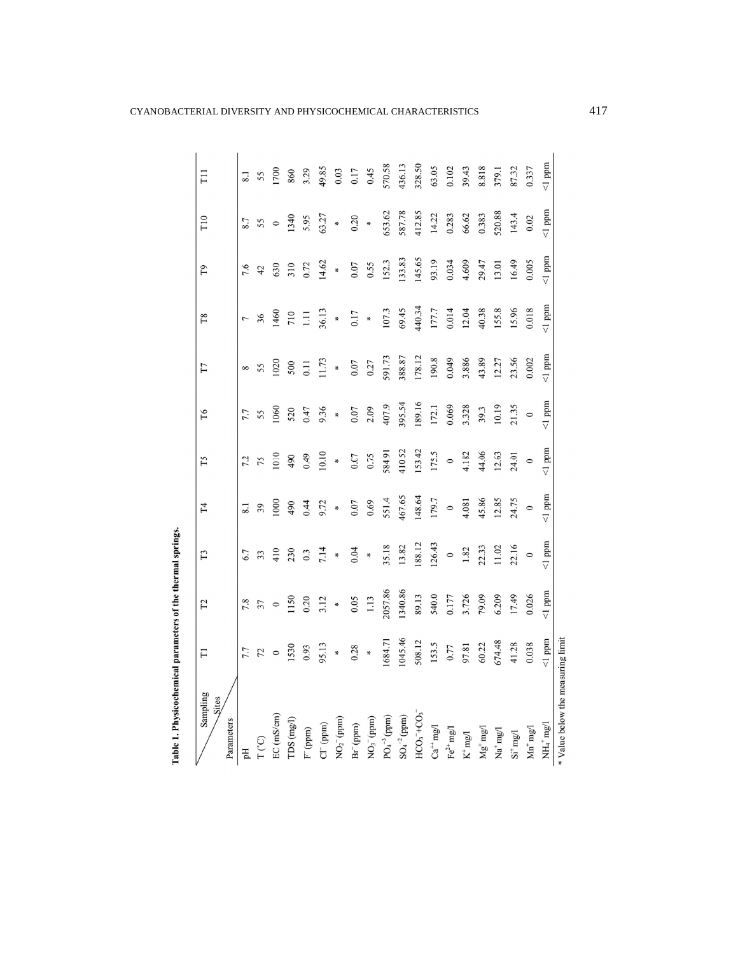| Sampling<br>Sites<br>Parameters       | $\overline{\Gamma}$ | $\Gamma$ 2 | T <sub>3</sub> | T <sub>4</sub> | Т5           | T6      | TТ           | T8        | T <sub>9</sub> | T10     | FII     |
|---------------------------------------|---------------------|------------|----------------|----------------|--------------|---------|--------------|-----------|----------------|---------|---------|
| Fф                                    | 7.7                 | 7.8        | 6.7            | 8.1            | 7.2          | 7.7     | ${}^{\circ}$ | 7         | 7.6            | 8.7     |         |
| $T^{\prime}$ <sup>c</sup>             | 72                  | 37         | 33             | 39             | 75           | 55      | 55           | 36        | 42             | 55      | 55      |
| $EC$ (mS/cm)                          | $\circ$             | $\circ$    | 410            | 000            | 1010         | 1060    | 1020         | 460       | 630            | $\circ$ | 700     |
| TDS (mg/l)                            | 1530                | 150        | 230            | 490            | 490          | 520     | 500          | 710       | 310            | 1340    | 860     |
| $F$ (ppm)                             | 0.93                | 0.20       | 0.3            | 0.44           | 64.0         | 0.47    | 0.11         | Ξ         | 0.72           | 5.95    | 3.29    |
| CI <sup>-</sup> (ppm)                 | 95.13               | 3.12       | 7.14           | 9.72           | 10.10        | 9.36    | 11.73        | 36.13     | 14.62          | 63.27   | 49.85   |
| $NO2-$ (ppm)                          | ×                   | ₩          | ×              | ¥              | *            | *       | ×            | ×         | *              | *       | 0.03    |
| Br <sup>-</sup> (ppm)                 | 0.28                | 0.05       | 0.04           | 0.07           | 0.07         | 0.07    | 0.07         | 0.17      | 0.07           | 0.20    | 0.17    |
| NO <sub>3</sub> (ppm)                 | ₩                   | 1.13       | ₩              | 0.69           | 0.75         | 2.09    | 0.27         | ×         | 0.55           | ₩       | 0.45    |
| $PO4-3$ (ppm)                         | 1684.71             | 2057.86    | 35.18          | 551.4          | 584.91       | 407.9   | 591.73       | 107.3     | 152.3          | 653.62  | 570.58  |
| $SO_4^{-2}$ (ppm)                     | 1045.46             | 1340.86    | 13.82          | 467.65         | 410.52       | 395.54  | 388.87       | 69.45     | 133.83         | 587.78  | 436.13  |
| $HCO3 + CO3$                          | 508.12              | 89.13      | 188.12         | 148.64         | 153.42       | 189.16  | 178.12       | 440.34    | 145.65         | 412.85  | 328.50  |
| $Ca++mg0$                             | 153.5               | 540.0      | 126.43         | 179.7          | 175.5        | 172.1   | 190.8        | 177.7     | 93.19          | 14.22   | 63.05   |
| Fe <sup>2+</sup> mg/l                 | 0.77                | 0.177      | $\circ$        | $\circ$        | $\circ$      | 0.069   | 0.049        | 0.014     | 0.034          | 0.283   | 0.102   |
| $\mathrm{K}^+\mathrm{mg}/\mathrm{l}$  | 97.81               | 3.726      | 1.82           | 4.081          | 4.182        | 3.328   | 3.886        | 12.04     | 4.609          | 66.62   | 39.43   |
| $\rm Mg^+$ mg/l                       | 60.22               | 79.09      | 22.33          | 45.86          | 44.06        | 39.3    | 43.89        | 40.38     | 29.47          | 0.383   | 8.818   |
| $\text{Na}^+ \text{mg}$               | 674.48              | 6.209      | 11.02          | 12.85          | 12.63        | 10.19   | 12.27        | 155.8     | 13.01          | 520.88  | 379.1   |
| $\mathrm{Si}^+\mathrm{mg}/\mathrm{l}$ | 41.28               | 17.49      | 22.16          | 24.75          | 24.01        | 21.35   | 23.56        | 15.96     | 16.49          | 143.4   | 87.32   |
| $Mn^{+}mg/$                           | 0.038               | 0.026      | $\circ$        | $\circ$        | $\circ$      | $\circ$ | 0.002        | 0.018     | 0.005          | 0.02    | 0.337   |
| $NH_4$ <sup>+</sup> $mg/1$            | $<1$ ppm            | $1$ ppm    | $< 1$ ppm      | $<$ 1 ppm      | $\leq 1$ ppm | $1$ ppm | $< 1$ ppm    | $< 1$ ppm | $1$ ppm        | $1$ ppm | $1$ ppm |
| * Value below the measuring limit     |                     |            |                |                |              |         |              |           |                |         |         |

Table 1. Physicochemical parameters of the thermal springs.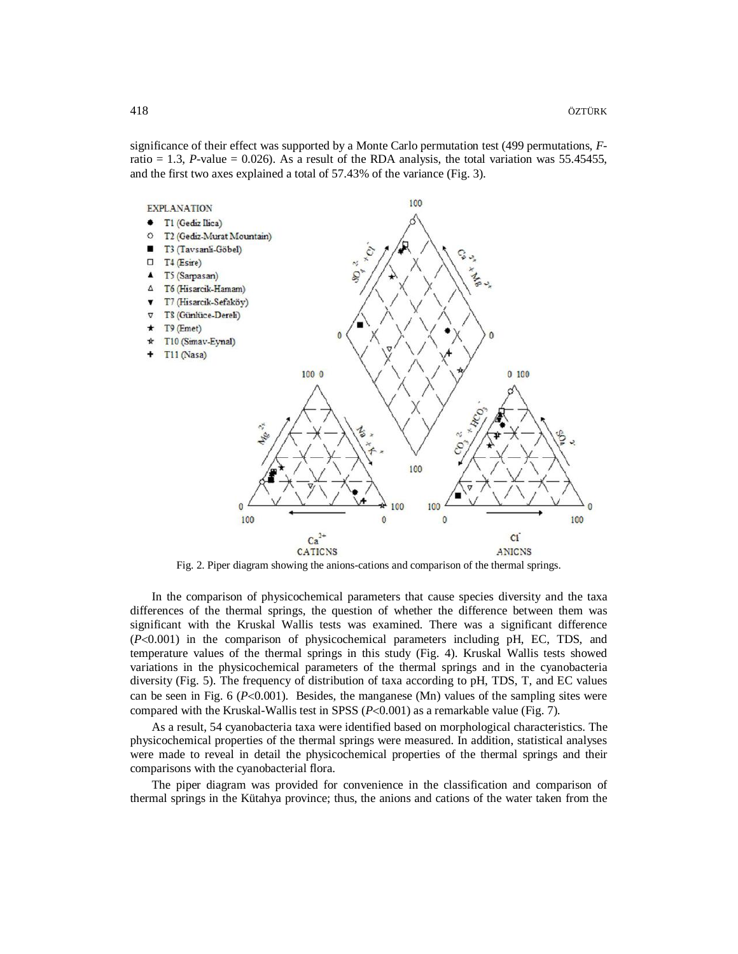significance of their effect was supported by a Monte Carlo permutation test (499 permutations, *F*ratio  $= 1.3$ , *P*-value  $= 0.026$ ). As a result of the RDA analysis, the total variation was 55.45455, and the first two axes explained a total of 57.43% of the variance (Fig. 3).



Fig. 2. Piper diagram showing the anions-cations and comparison of the thermal springs.

In the comparison of physicochemical parameters that cause species diversity and the taxa differences of the thermal springs, the question of whether the difference between them was significant with the Kruskal Wallis tests was examined. There was a significant difference  $(P<0.001)$  in the comparison of physicochemical parameters including pH, EC, TDS, and temperature values of the thermal springs in this study (Fig. 4). Kruskal Wallis tests showed variations in the physicochemical parameters of the thermal springs and in the cyanobacteria diversity (Fig. 5). The frequency of distribution of taxa according to pH, TDS, T, and EC values can be seen in Fig. 6 ( $P<0.001$ ). Besides, the manganese (Mn) values of the sampling sites were compared with the Kruskal-Wallis test in SPSS  $(P<0.001)$  as a remarkable value (Fig. 7).

As a result, 54 cyanobacteria taxa were identified based on morphological characteristics. The physicochemical properties of the thermal springs were measured. In addition, statistical analyses were made to reveal in detail the physicochemical properties of the thermal springs and their comparisons with the cyanobacterial flora.

The piper diagram was provided for convenience in the classification and comparison of thermal springs in the Kütahya province; thus, the anions and cations of the water taken from the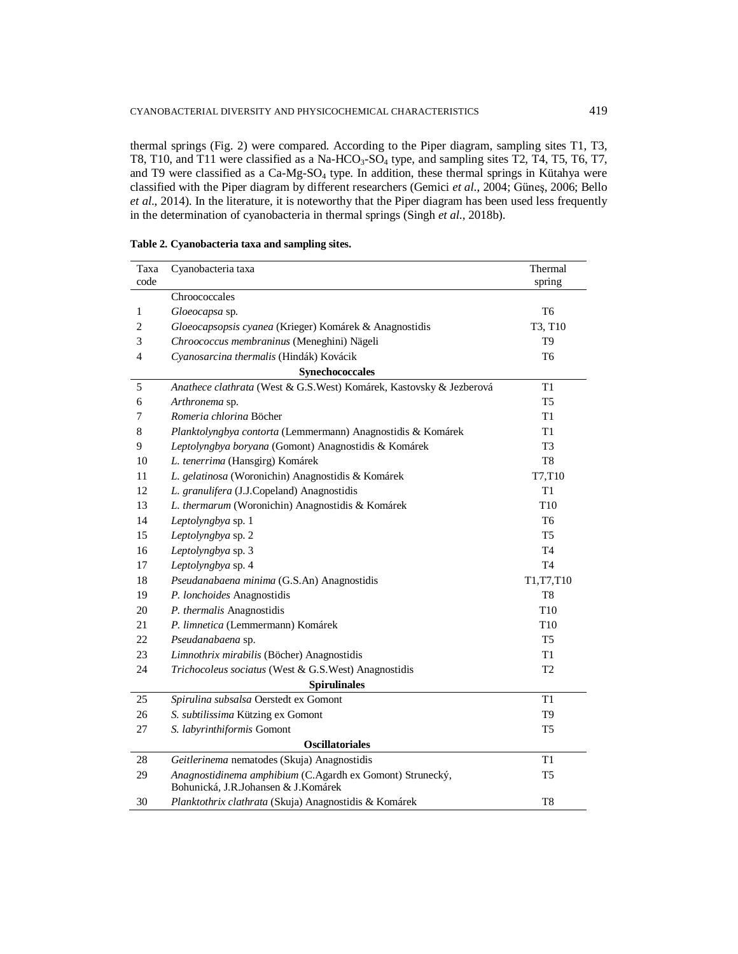thermal springs (Fig. 2) were compared. According to the Piper diagram, sampling sites T1, T3, T8, T10, and T11 were classified as a Na-HCO<sub>3</sub>-SO<sub>4</sub> type, and sampling sites T2, T4, T5, T6, T7, and T9 were classified as a Ca-Mg-SO<sub>4</sub> type. In addition, these thermal springs in Kütahya were classified with the Piper diagram by different researchers (Gemici *et al*., 2004; Güneş, 2006; Bello *et al*., 2014). In the literature, it is noteworthy that the Piper diagram has been used less frequently in the determination of cyanobacteria in thermal springs (Singh *et al*., 2018b).

| Taxa | Cyanobacteria taxa                                                                               | Thermal         |
|------|--------------------------------------------------------------------------------------------------|-----------------|
| code |                                                                                                  | spring          |
|      | Chroococcales                                                                                    |                 |
| 1    | Gloeocapsa sp.                                                                                   | T <sub>6</sub>  |
| 2    | Gloeocapsopsis cyanea (Krieger) Komárek & Anagnostidis                                           | T3, T10         |
| 3    | Chroococcus membraninus (Meneghini) Nägeli                                                       | T <sub>9</sub>  |
| 4    | Cyanosarcina thermalis (Hindák) Kovácik                                                          | T <sub>6</sub>  |
|      | Synechococcales                                                                                  |                 |
| 5    | Anathece clathrata (West & G.S.West) Komárek, Kastovsky & Jezberová                              | T1              |
| 6    | Arthronema sp.                                                                                   | T <sub>5</sub>  |
| 7    | Romeria chlorina Böcher                                                                          | T1              |
| 8    | Planktolyngbya contorta (Lemmermann) Anagnostidis & Komárek                                      | T1              |
| 9    | Leptolyngbya boryana (Gomont) Anagnostidis & Komárek                                             | T <sub>3</sub>  |
| 10   | L. tenerrima (Hansgirg) Komárek                                                                  | T <sub>8</sub>  |
| 11   | L. gelatinosa (Woronichin) Anagnostidis & Komárek                                                | T7,T10          |
| 12   | L. granulifera (J.J.Copeland) Anagnostidis                                                       | T1              |
| 13   | L. thermarum (Woronichin) Anagnostidis & Komárek                                                 | T <sub>10</sub> |
| 14   | Leptolyngbya sp. 1                                                                               | T <sub>6</sub>  |
| 15   | Leptolyngbya sp. 2                                                                               | T <sub>5</sub>  |
| 16   | Leptolyngbya sp. 3                                                                               | T4              |
| 17   | Leptolyngbya sp. 4                                                                               | T <sub>4</sub>  |
| 18   | Pseudanabaena minima (G.S.An) Anagnostidis                                                       | T1, T7, T10     |
| 19   | P. lonchoides Anagnostidis                                                                       | T <sub>8</sub>  |
| 20   | P. thermalis Anagnostidis                                                                        | T <sub>10</sub> |
| 21   | P. limnetica (Lemmermann) Komárek                                                                | T10             |
| 22   | Pseudanabaena sp.                                                                                | T5              |
| 23   | Limnothrix mirabilis (Böcher) Anagnostidis                                                       | T1              |
| 24   | Trichocoleus sociatus (West & G.S.West) Anagnostidis                                             | T <sub>2</sub>  |
|      | <b>Spirulinales</b>                                                                              |                 |
| 25   | Spirulina subsalsa Oerstedt ex Gomont                                                            | T1              |
| 26   | S. subtilissima Kützing ex Gomont                                                                | T <sub>9</sub>  |
| 27   | S. labyrinthiformis Gomont                                                                       | T <sub>5</sub>  |
|      | <b>Oscillatoriales</b>                                                                           |                 |
| 28   | Geitlerinema nematodes (Skuja) Anagnostidis                                                      | T1              |
| 29   | Anagnostidinema amphibium (C.Agardh ex Gomont) Strunecký,<br>Bohunická, J.R.Johansen & J.Komárek | T <sub>5</sub>  |
| 30   | Planktothrix clathrata (Skuja) Anagnostidis & Komárek                                            | T <sub>8</sub>  |

| Table 2. Cyanobacteria taxa and sampling sites. |  |  |
|-------------------------------------------------|--|--|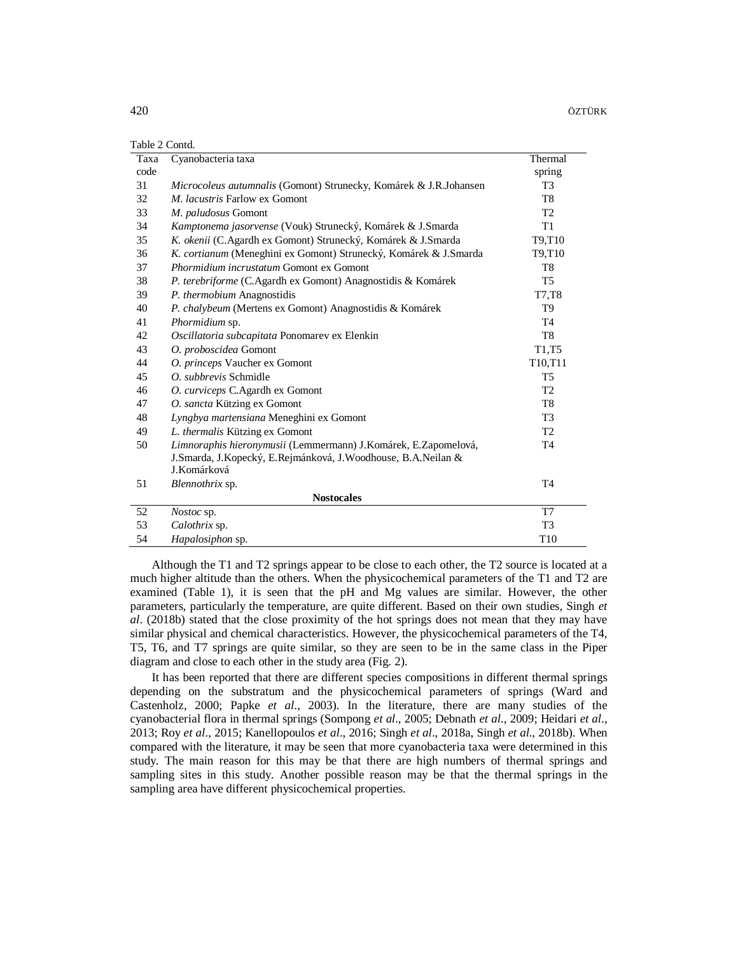| Table 2 Contd. |  |
|----------------|--|
|----------------|--|

| Taxa | Cyanobacteria taxa                                                | Thermal         |
|------|-------------------------------------------------------------------|-----------------|
| code |                                                                   | spring          |
| 31   | Microcoleus autumnalis (Gomont) Strunecky, Komárek & J.R.Johansen | T <sub>3</sub>  |
| 32   | M. lacustris Farlow ex Gomont                                     | T <sub>8</sub>  |
| 33   | M. paludosus Gomont                                               | T <sub>2</sub>  |
| 34   | Kamptonema jasorvense (Vouk) Strunecký, Komárek & J.Smarda        | T <sub>1</sub>  |
| 35   | K. okenii (C.Agardh ex Gomont) Strunecký, Komárek & J.Smarda      | T9,T10          |
| 36   | K. cortianum (Meneghini ex Gomont) Strunecký, Komárek & J.Smarda  | T9,T10          |
| 37   | <i>Phormidium incrustatum</i> Gomont ex Gomont                    | T <sub>8</sub>  |
| 38   | P. terebriforme (C.Agardh ex Gomont) Anagnostidis & Komárek       | T <sub>5</sub>  |
| 39   | P. thermobium Anagnostidis                                        | T7.T8           |
| 40   | P. chalybeum (Mertens ex Gomont) Anagnostidis & Komárek           | T <sub>9</sub>  |
| 41   | Phormidium sp.                                                    | <b>T4</b>       |
| 42   | Oscillatoria subcapitata Ponomarev ex Elenkin                     | T <sub>8</sub>  |
| 43   | O. proboscidea Gomont                                             | T1,T5           |
| 44   | O. princeps Vaucher ex Gomont                                     | T10,T11         |
| 45   | O. subbrevis Schmidle                                             | T <sub>5</sub>  |
| 46   | O. curviceps C.Agardh ex Gomont                                   | T <sub>2</sub>  |
| 47   | O. sancta Kützing ex Gomont                                       | T <sub>8</sub>  |
| 48   | Lyngbya martensiana Meneghini ex Gomont                           | T <sub>3</sub>  |
| 49   | L. thermalis Kützing ex Gomont                                    | T <sub>2</sub>  |
| 50   | Limnoraphis hieronymusii (Lemmermann) J.Komárek, E.Zapomelová,    | T <sub>4</sub>  |
|      | J.Smarda, J.Kopecký, E.Rejmánková, J.Woodhouse, B.A.Neilan &      |                 |
|      | J.Komárková                                                       |                 |
| 51   | Blennothrix sp.                                                   | <b>T4</b>       |
|      | <b>Nostocales</b>                                                 |                 |
| 52   | Nostoc sp.                                                        | T7              |
| 53   | Calothrix sp.                                                     | T <sub>3</sub>  |
| 54   | Hapalosiphon sp.                                                  | T <sub>10</sub> |

Although the T1 and T2 springs appear to be close to each other, the T2 source is located at a much higher altitude than the others. When the physicochemical parameters of the T1 and T2 are examined (Table 1), it is seen that the pH and Mg values are similar. However, the other parameters, particularly the temperature, are quite different. Based on their own studies, Singh *et al*. (2018b) stated that the close proximity of the hot springs does not mean that they may have similar physical and chemical characteristics. However, the physicochemical parameters of the T4, T5, T6, and T7 springs are quite similar, so they are seen to be in the same class in the Piper diagram and close to each other in the study area (Fig. 2).

It has been reported that there are different species compositions in different thermal springs depending on the substratum and the physicochemical parameters of springs (Ward and Castenholz, 2000; Papke *et al*., 2003). In the literature, there are many studies of the cyanobacterial flora in thermal springs (Sompong *et al*., 2005; Debnath *et al*., 2009; Heidari *et al*., 2013; Roy *et al*., 2015; Kanellopoulos *et al*., 2016; Singh *et al*., 2018a, Singh *et al*., 2018b). When compared with the literature, it may be seen that more cyanobacteria taxa were determined in this study. The main reason for this may be that there are high numbers of thermal springs and sampling sites in this study. Another possible reason may be that the thermal springs in the sampling area have different physicochemical properties.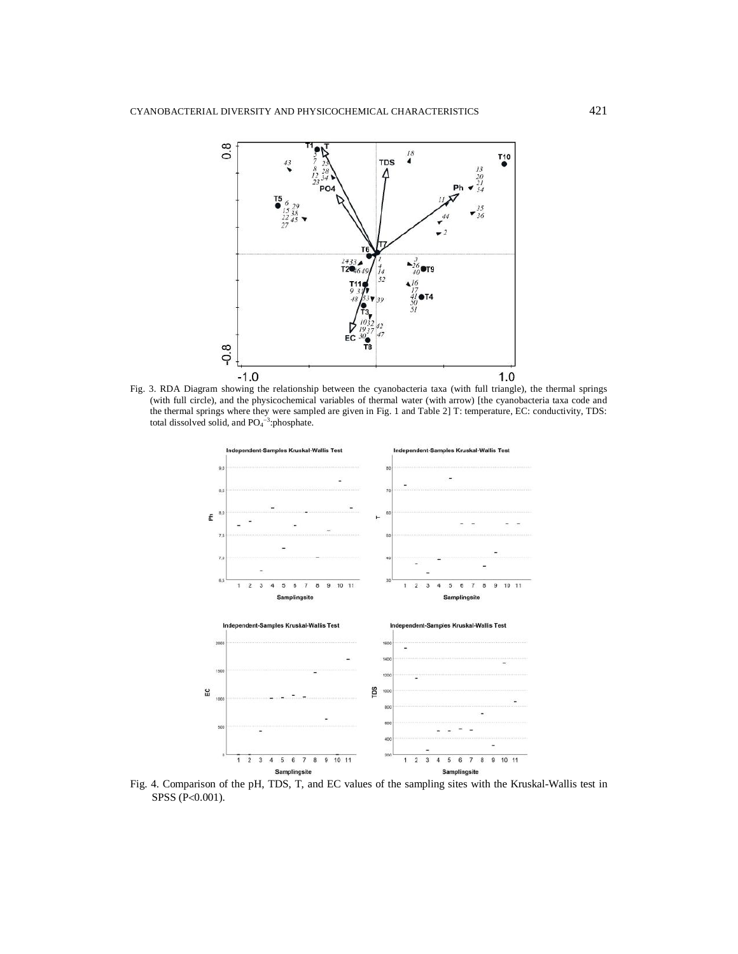

Fig. 3. RDA Diagram showing the relationship between the cyanobacteria taxa (with full triangle), the thermal springs (with full circle), and the physicochemical variables of thermal water (with arrow) [the cyanobacteria taxa code and the thermal springs where they were sampled are given in Fig. 1 and Table 2] T: temperature, EC: conductivity, TDS: total dissolved solid, and  $PO<sub>4</sub><sup>-3</sup>:phosphate.$ 



Fig. 4. Comparison of the pH, TDS, T, and EC values of the sampling sites with the Kruskal-Wallis test in SPSS (P<0.001).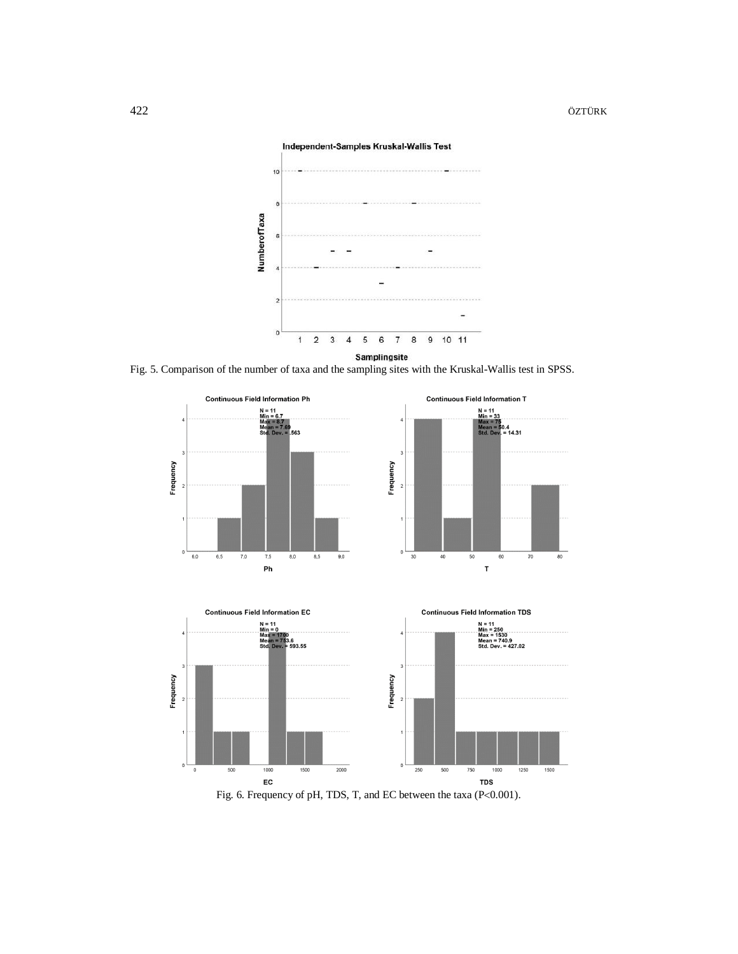

Fig. 5. Comparison of the number of taxa and the sampling sites with the Kruskal-Wallis test in SPSS.







Fig. 6. Frequency of pH, TDS, T, and EC between the taxa (P<0.001).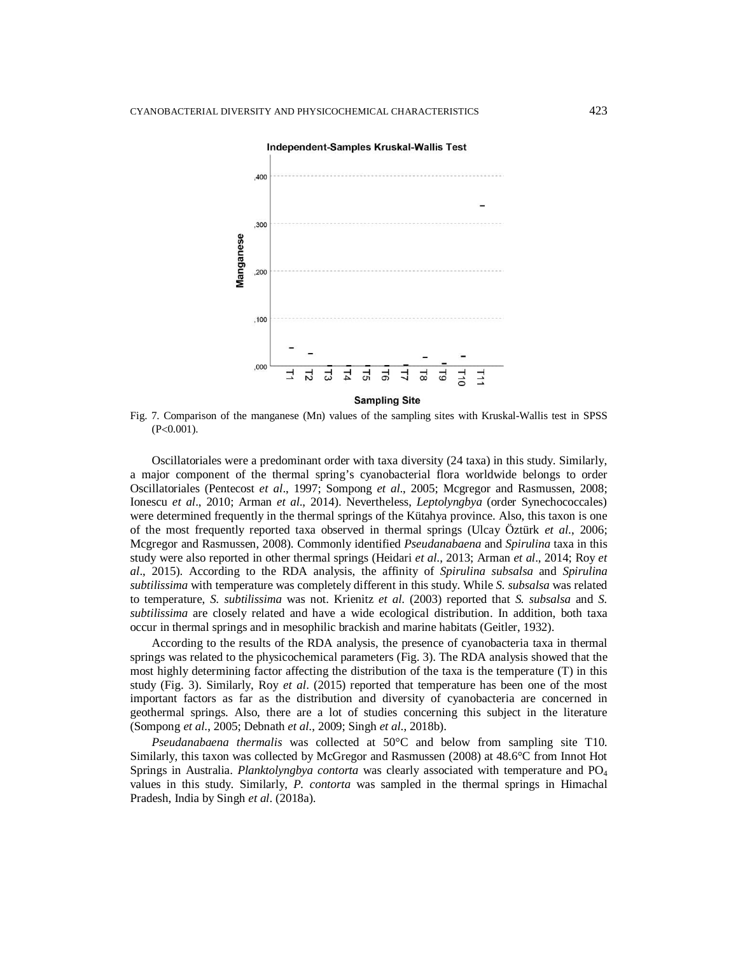

Fig. 7. Comparison of the manganese (Mn) values of the sampling sites with Kruskal-Wallis test in SPSS  $(P<0.001)$ .

Oscillatoriales were a predominant order with taxa diversity (24 taxa) in this study. Similarly, a major component of the thermal spring's cyanobacterial flora worldwide belongs to order Oscillatoriales (Pentecost *et al*., 1997; Sompong *et al*., 2005; Mcgregor and Rasmussen, 2008; Ionescu *et al*., 2010; Arman *et al*., 2014). Nevertheless, *Leptolyngbya* (order Synechococcales) were determined frequently in the thermal springs of the Kütahya province. Also, this taxon is one of the most frequently reported taxa observed in thermal springs (Ulcay Öztürk *et al*., 2006; Mcgregor and Rasmussen, 2008). Commonly identified *Pseudanabaena* and *Spirulina* taxa in this study were also reported in other thermal springs (Heidari *et al*., 2013; Arman *et al*., 2014; Roy *et al*., 2015). According to the RDA analysis, the affinity of *Spirulina subsalsa* and *Spirulina subtilissima* with temperature was completely different in this study. While *S. subsalsa* was related to temperature, *S. subtilissima* was not. Krienitz *et al*. (2003) reported that *S. subsalsa* and *S. subtilissima* are closely related and have a wide ecological distribution. In addition, both taxa occur in thermal springs and in mesophilic brackish and marine habitats (Geitler, 1932).

According to the results of the RDA analysis, the presence of cyanobacteria taxa in thermal springs was related to the physicochemical parameters (Fig. 3). The RDA analysis showed that the most highly determining factor affecting the distribution of the taxa is the temperature (T) in this study (Fig. 3). Similarly, Roy *et al*. (2015) reported that temperature has been one of the most important factors as far as the distribution and diversity of cyanobacteria are concerned in geothermal springs. Also, there are a lot of studies concerning this subject in the literature (Sompong *et al*., 2005; Debnath *et al*., 2009; Singh *et al*., 2018b).

*Pseudanabaena thermalis* was collected at 50°C and below from sampling site T10. Similarly, this taxon was collected by McGregor and Rasmussen (2008) at 48.6°C from Innot Hot Springs in Australia. *Planktolyngbya contorta* was clearly associated with temperature and PO<sup>4</sup> values in this study. Similarly, *P. contorta* was sampled in the thermal springs in Himachal Pradesh, India by Singh *et al*. (2018a).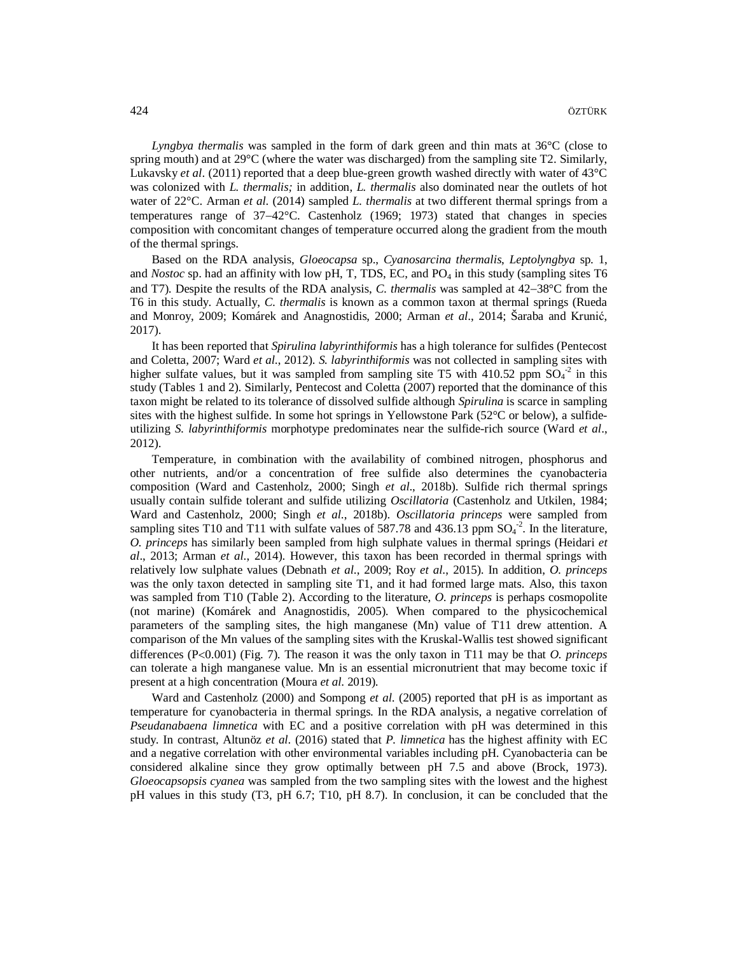*Lyngbya thermalis* was sampled in the form of dark green and thin mats at 36°C (close to spring mouth) and at 29°C (where the water was discharged) from the sampling site T2. Similarly, Lukavsky *et al*. (2011) reported that a deep blue-green growth washed directly with water of 43°C was colonized with *L. thermalis;* in addition, *L. thermalis* also dominated near the outlets of hot water of 22°C. Arman *et al*. (2014) sampled *L. thermalis* at two different thermal springs from a temperatures range of  $37-42^{\circ}$ C. Castenholz (1969; 1973) stated that changes in species composition with concomitant changes of temperature occurred along the gradient from the mouth of the thermal springs.

Based on the RDA analysis, *Gloeocapsa* sp., *Cyanosarcina thermalis*, *Leptolyngbya* sp. 1, and *Nostoc* sp. had an affinity with low pH, T, TDS, EC, and  $PO_4$  in this study (sampling sites T6 and T7). Despite the results of the RDA analysis, *C. thermalis* was sampled at  $42-38^{\circ}$ C from the T6 in this study. Actually, *C. thermalis* is known as a common taxon at thermal springs (Rueda and Monroy, 2009; Komárek and Anagnostidis, 2000; Arman *et al*., 2014; Šaraba and Krunić, 2017).

It has been reported that *Spirulina labyrinthiformis* has a high tolerance for sulfides (Pentecost and Coletta, 2007; Ward *et al*., 2012). *S. labyrinthiformis* was not collected in sampling sites with higher sulfate values, but it was sampled from sampling site T5 with 410.52 ppm  $SO_4^{-2}$  in this study (Tables 1 and 2). Similarly, Pentecost and Coletta (2007) reported that the dominance of this taxon might be related to its tolerance of dissolved sulfide although *Spirulina* is scarce in sampling sites with the highest sulfide. In some hot springs in Yellowstone Park (52°C or below), a sulfideutilizing *S. labyrinthiformis* morphotype predominates near the sulfide-rich source (Ward *et al*., 2012).

Temperature, in combination with the availability of combined nitrogen, phosphorus and other nutrients, and/or a concentration of free sulfide also determines the cyanobacteria composition (Ward and Castenholz, 2000; Singh *et al*., 2018b). Sulfide rich thermal springs usually contain sulfide tolerant and sulfide utilizing *Oscillatoria* (Castenholz and Utkilen, 1984; Ward and Castenholz, 2000; Singh *et al*., 2018b). *Oscillatoria princeps* were sampled from sampling sites T10 and T11 with sulfate values of 587.78 and 436.13 ppm  $SO_4^2$ . In the literature, *O. princeps* has similarly been sampled from high sulphate values in thermal springs (Heidari *et al*., 2013; Arman *et al*., 2014). However, this taxon has been recorded in thermal springs with relatively low sulphate values (Debnath *et al*., 2009; Roy *et al*., 2015). In addition, *O. princeps* was the only taxon detected in sampling site T1, and it had formed large mats. Also, this taxon was sampled from T10 (Table 2). According to the literature, *O. princeps* is perhaps cosmopolite (not marine) (Komárek and Anagnostidis, 2005). When compared to the physicochemical parameters of the sampling sites, the high manganese (Mn) value of T11 drew attention. A comparison of the Mn values of the sampling sites with the Kruskal-Wallis test showed significant differences  $(P<0.001)$  (Fig. 7). The reason it was the only taxon in T11 may be that *O. princeps* can tolerate a high manganese value. Mn is an essential micronutrient that may become toxic if present at a high concentration (Moura *et al*. 2019).

Ward and Castenholz (2000) and Sompong *et al*. (2005) reported that pH is as important as temperature for cyanobacteria in thermal springs. In the RDA analysis, a negative correlation of *Pseudanabaena limnetica* with EC and a positive correlation with pH was determined in this study. In contrast, Altunöz *et al*. (2016) stated that *P. limnetica* has the highest affinity with EC and a negative correlation with other environmental variables including pH. Cyanobacteria can be considered alkaline since they grow optimally between pH 7.5 and above (Brock, 1973). *Gloeocapsopsis cyanea* was sampled from the two sampling sites with the lowest and the highest pH values in this study (T3, pH 6.7; T10, pH 8.7). In conclusion, it can be concluded that the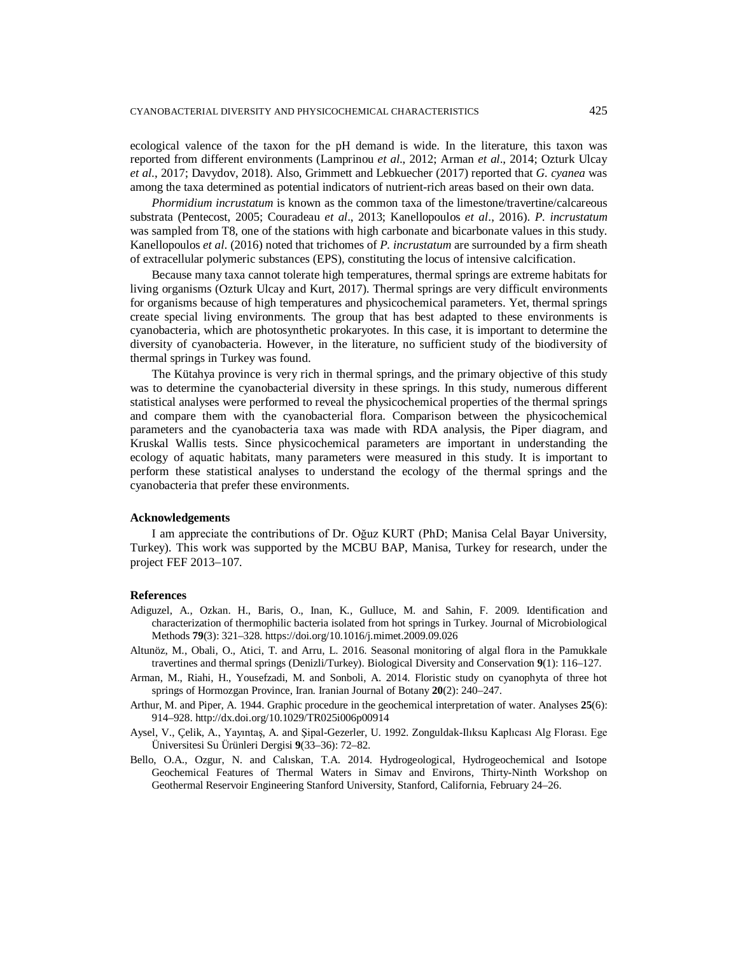ecological valence of the taxon for the pH demand is wide. In the literature, this taxon was reported from different environments (Lamprinou *et al*., 2012; Arman *et al*., 2014; Ozturk Ulcay *et al*., 2017; Davydov, 2018). Also, Grimmett and Lebkuecher (2017) reported that *G. cyanea* was among the taxa determined as potential indicators of nutrient-rich areas based on their own data.

*Phormidium incrustatum* is known as the common taxa of the limestone/travertine/calcareous substrata (Pentecost, 2005; Couradeau *et al*., 2013; Kanellopoulos *et al*., 2016). *P. incrustatum* was sampled from T8, one of the stations with high carbonate and bicarbonate values in this study. Kanellopoulos *et al*. (2016) noted that trichomes of *P. incrustatum* are surrounded by a firm sheath of extracellular polymeric substances (EPS), constituting the locus of intensive calcification.

Because many taxa cannot tolerate high temperatures, thermal springs are extreme habitats for living organisms (Ozturk Ulcay and Kurt, 2017). Thermal springs are very difficult environments for organisms because of high temperatures and physicochemical parameters. Yet, thermal springs create special living environments. The group that has best adapted to these environments is cyanobacteria, which are photosynthetic prokaryotes. In this case, it is important to determine the diversity of cyanobacteria. However, in the literature, no sufficient study of the biodiversity of thermal springs in Turkey was found.

The Kütahya province is very rich in thermal springs, and the primary objective of this study was to determine the cyanobacterial diversity in these springs. In this study, numerous different statistical analyses were performed to reveal the physicochemical properties of the thermal springs and compare them with the cyanobacterial flora. Comparison between the physicochemical parameters and the cyanobacteria taxa was made with RDA analysis, the Piper diagram, and Kruskal Wallis tests. Since physicochemical parameters are important in understanding the ecology of aquatic habitats, many parameters were measured in this study. It is important to perform these statistical analyses to understand the ecology of the thermal springs and the cyanobacteria that prefer these environments.

### **Acknowledgements**

I am appreciate the contributions of Dr. Oğuz KURT (PhD; Manisa Celal Bayar University, Turkey). This work was supported by the MCBU BAP, Manisa, Turkey for research, under the project FEF 2013-107.

# **References**

- Adiguzel, A., Ozkan. H., Baris, O., Inan, K., Gulluce, M. and Sahin, F. 2009. Identification and characterization of thermophilic bacteria isolated from hot springs in Turkey. Journal of Microbiological Methods **79**(3): 321–328.<https://doi.org/10.1016/j.mimet.2009.09.026>
- Altunöz, M., Obali, O., Atici, T. and Arru, L. 2016. Seasonal monitoring of algal flora in the Pamukkale travertines and thermal springs (Denizli/Turkey). Biological Diversity and Conservation **9**(1): 116–127.
- Arman, M., Riahi, H., Yousefzadi, M. and Sonboli, A. 2014. Floristic study on cyanophyta of three hot springs of Hormozgan Province, Iran. Iranian Journal of Botany **20**(2): 240–247.
- Arthur, M. and Piper, A. 1944. Graphic procedure in the geochemical interpretation of water. Analyses **25**(6): 914–928.<http://dx.doi.org/10.1029/TR025i006p00914>
- Aysel, V., Çelik, A., Yayıntaş, A. and Şipal-Gezerler, U. 1992. Zonguldak-Ilıksu Kaplıcası Alg Florası. Ege Üniversitesi Su Ürünleri Dergisi **9**(33–36): 72–82.
- Bello, O.A., Ozgur, N. and Calıskan, T.A. 2014. Hydrogeological, Hydrogeochemical and Isotope Geochemical Features of Thermal Waters in Simav and Environs, Thirty-Ninth Workshop on Geothermal Reservoir Engineering Stanford University, Stanford, California, February 24–26.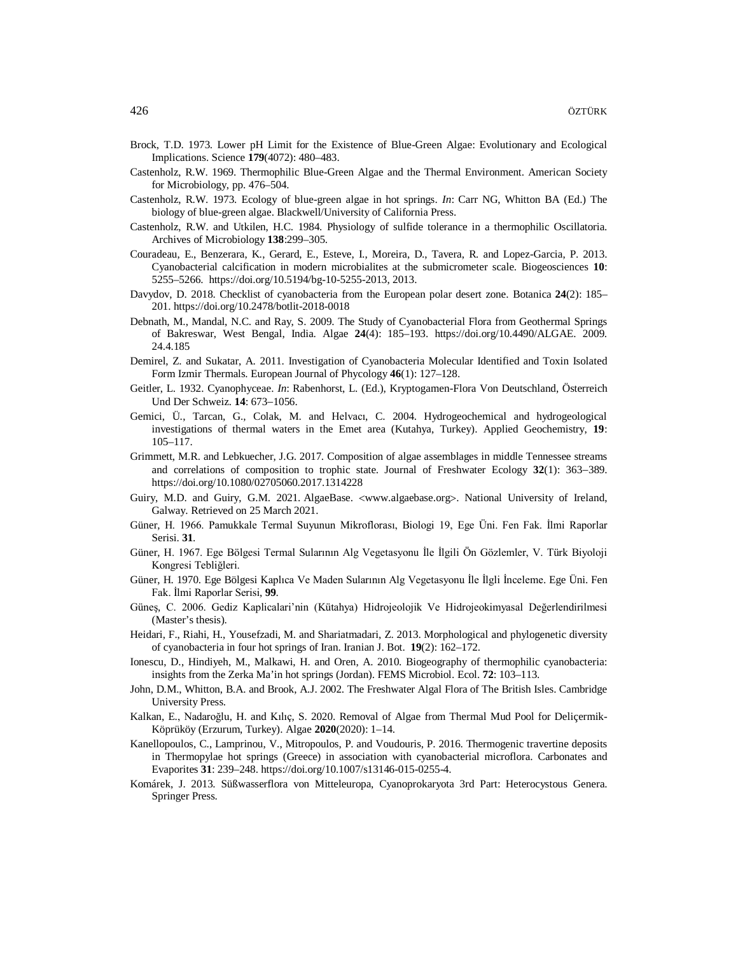- Brock, T.D. 1973. Lower pH Limit for the Existence of Blue-Green Algae: Evolutionary and Ecological Implications. Science **179**(4072): 480–483.
- Castenholz, R.W. 1969. Thermophilic Blue-Green Algae and the Thermal Environment. American Society for Microbiology, pp. 476–504.
- Castenholz, R.W. 1973. Ecology of blue-green algae in hot springs. *In*: Carr NG, Whitton BA (Ed.) The biology of blue-green algae. Blackwell/University of California Press.
- Castenholz, R.W. and Utkilen, H.C. 1984. Physiology of sulfide tolerance in a thermophilic Oscillatoria. Archives of Microbiology **138**:299–305.
- Couradeau, E., Benzerara, K., Gerard, E., Esteve, I., Moreira, D., Tavera, R. and Lopez-Garcia, P. 2013. Cyanobacterial calcification in modern microbialites at the submicrometer scale. Biogeosciences **10**: 5255–5266. <https://doi.org/10.5194/bg-10-5255-2013,>2013.
- Davydov, D. 2018. Checklist of cyanobacteria from the European polar desert zone. Botanica **24**(2): 185– 201. <https://doi.org/10.2478/botlit-2018-0018>
- Debnath, M., Mandal, N.C. and Ray, S. 2009. The Study of Cyanobacterial Flora from Geothermal Springs of Bakreswar, West Bengal, India. Algae **24**(4): 185–193. <https://doi.org/10.4490/ALGAE.> 2009. 24.4.185
- Demirel, Z. and Sukatar, A. 2011. Investigation of Cyanobacteria Molecular Identified and Toxin Isolated Form Izmir Thermals. European Journal of Phycology **46**(1): 127–128.
- Geitler, L. 1932. Cyanophyceae. *In*: Rabenhorst, L. (Ed.), Kryptogamen-Flora Von Deutschland, Österreich Und Der Schweiz. 14: 673-1056.
- Gemici, Ü., Tarcan, G., Colak, M. and Helvacı, C. 2004. Hydrogeochemical and hydrogeological investigations of thermal waters in the Emet area (Kutahya, Turkey). Applied Geochemistry, **19**: 105–117.
- Grimmett, M.R. and Lebkuecher, J.G. 2017. Composition of algae assemblages in middle Tennessee streams and correlations of composition to trophic state. Journal of Freshwater Ecology 32(1): 363-389. <https://doi.org/10.1080/02705060.2017.1314228>
- Guiry, M.D. and Guiry, G.M. 2021. AlgaeBase. <[www.algaebase.org](http://www.algaebase.org)>. National University of Ireland, Galway. Retrieved on 25 March 2021.
- Güner, H. 1966. Pamukkale Termal Suyunun Mikroflorası, Biologi 19, Ege Üni. Fen Fak. İlmi Raporlar Serisi. **31**.
- Güner, H. 1967. Ege Bölgesi Termal Sularının Alg Vegetasyonu İle İlgili Ön Gözlemler, V. Türk Biyoloji Kongresi Tebliğleri.
- Güner, H. 1970. Ege Bölgesi Kaplıca Ve Maden Sularının Alg Vegetasyonu İle İlgli İnceleme. Ege Üni. Fen Fak. İlmi Raporlar Serisi, **99**.
- Güneş, C. 2006. Gediz Kaplicalari'nin (Kütahya) Hidrojeolojik Ve Hidrojeokimyasal Değerlendirilmesi (Master's thesis).
- Heidari, F., Riahi, H., Yousefzadi, M. and Shariatmadari, Z. 2013. Morphological and phylogenetic diversity of cyanobacteria in four hot springs of Iran. Iranian J. Bot. **19**(2): 162–172.
- Ionescu, D., Hindiyeh, M., Malkawi, H. and Oren, A. 2010. Biogeography of thermophilic cyanobacteria: insights from the Zerka Ma'in hot springs (Jordan). FEMS Microbiol. Ecol. **72**: 103–113.
- John, D.M., Whitton, B.A. and Brook, A.J. 2002. The Freshwater Algal Flora of The British Isles. Cambridge University Press.
- Kalkan, E., Nadaroğlu, H. and Kılıç, S. 2020. Removal of Algae from Thermal Mud Pool for Deliçermik-Köprüköy (Erzurum, Turkey). Algae **2020**(2020): 1–14.
- Kanellopoulos, C., Lamprinou, V., Mitropoulos, P. and Voudouris, P. 2016. Thermogenic travertine deposits in Thermopylae hot springs (Greece) in association with cyanobacterial microflora. Carbonates and Evaporites **31**: 239–248. <https://doi.org/10.1007/s13146-015-0255-4.>
- Komárek, J. 2013. Süßwasserflora von Mitteleuropa, Cyanoprokaryota 3rd Part: Heterocystous Genera. Springer Press.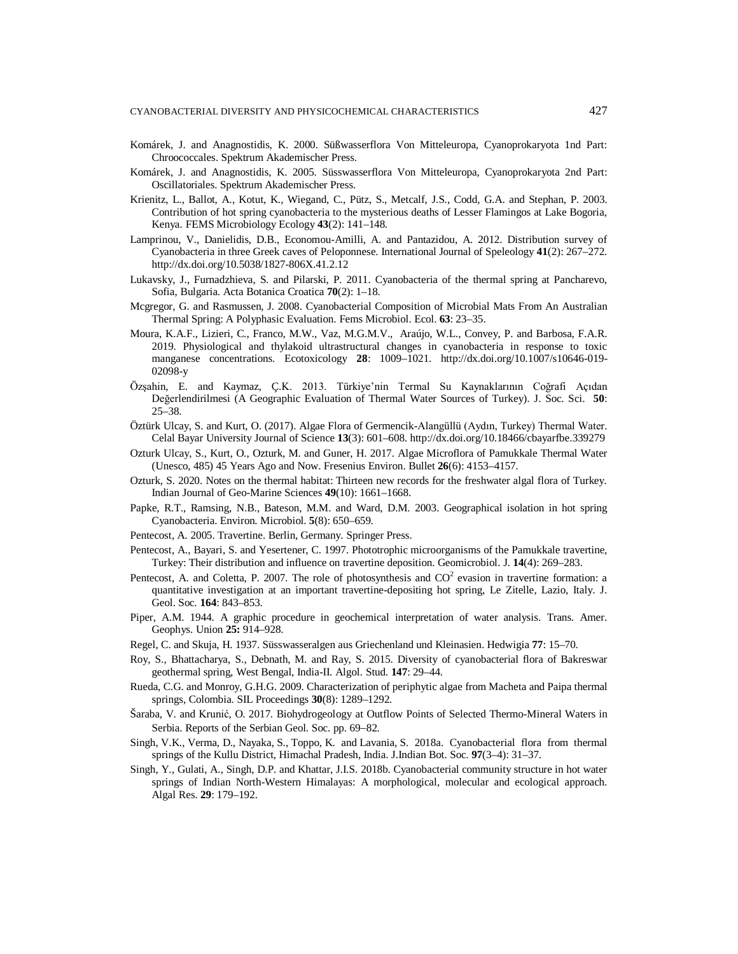- Komárek, J. and Anagnostidis, K. 2000. Süßwasserflora Von Mitteleuropa, Cyanoprokaryota 1nd Part: Chroococcales. Spektrum Akademischer Press.
- Komárek, J. and Anagnostidis, K. 2005. Süsswasserflora Von Mitteleuropa, Cyanoprokaryota 2nd Part: Oscillatoriales. Spektrum Akademischer Press.
- Krienitz, L., Ballot, A., Kotut, K., Wiegand, C., Pütz, S., Metcalf, J.S., Codd, G.A. and Stephan, P. 2003. Contribution of hot spring cyanobacteria to the mysterious deaths of Lesser Flamingos at Lake Bogoria, Kenya. FEMS Microbiology Ecology **43**(2): 141–148.
- Lamprinou, V., Danielidis, D.B., Economou-Amilli, A. and Pantazidou, A. 2012. Distribution survey of Cyanobacteria in three Greek caves of Peloponnese. International Journal of Speleology **41**(2): 267–272. <http://dx.doi.org/10.5038/1827-806X.41.2.12>
- Lukavsky, J., Furnadzhieva, S. and Pilarski, P. 2011. Cyanobacteria of the thermal spring at Pancharevo, Sofia, Bulgaria. Acta Botanica Croatica **70**(2): 1–18.
- Mcgregor, G. and Rasmussen, J. 2008. Cyanobacterial Composition of Microbial Mats From An Australian Thermal Spring: A Polyphasic Evaluation. Fems Microbiol. Ecol. **63**: 23–35.
- Moura, K.A.F., Lizieri, C., Franco, M.W., Vaz, M.G.M.V., Araújo, W.L., Convey, P. and Barbosa, F.A.R. 2019. Physiological and thylakoid ultrastructural changes in cyanobacteria in response to toxic manganese concentrations. Ecotoxicology **28**: 1009–1021. <http://dx.doi.org/10.1007/s10646-019-> 02098-y
- Özşahin, E. and Kaymaz, Ç.K. 2013. Türkiye'nin Termal Su Kaynaklarının Coğrafi Açıdan Değerlendirilmesi (A Geographic Evaluation of Thermal Water Sources of Turkey). J. Soc. Sci. **50**: 25–38.
- Öztürk Ulcay, S. and Kurt, O. (2017). Algae Flora of Germencik-Alangüllü (Aydın, Turkey) Thermal Water. Celal Bayar University Journal of Science **13**(3): 601–608. <http://dx.doi.org/10.18466/cbayarfbe.339279>
- Ozturk Ulcay, S., Kurt, O., Ozturk, M. and Guner, H. 2017. Algae Microflora of Pamukkale Thermal Water (Unesco, 485) 45 Years Ago and Now. Fresenius Environ. Bullet **26**(6): 4153–4157.
- Ozturk, S. 2020. Notes on the thermal habitat: Thirteen new records for the freshwater algal flora of Turkey. Indian Journal of Geo-Marine Sciences **49**(10): 1661–1668.
- Papke, R.T., Ramsing, N.B., Bateson, M.M. and Ward, D.M. 2003. Geographical isolation in hot spring Cyanobacteria. Environ. Microbiol. **5**(8): 650–659.
- Pentecost, A. 2005. Travertine. Berlin, Germany. Springer Press.
- Pentecost, A., Bayari, S. and Yesertener, C. 1997. Phototrophic microorganisms of the Pamukkale travertine, Turkey: Their distribution and influence on travertine deposition. Geomicrobiol. J. **14**(4): 269–283.
- Pentecost, A. and Coletta, P. 2007. The role of photosynthesis and  $CO<sup>2</sup>$  evasion in travertine formation: a quantitative investigation at an important travertine-depositing hot spring, Le Zitelle, Lazio, Italy. J. Geol. Soc. **164**: 843–853.
- Piper, A.M. 1944. A graphic procedure in geochemical interpretation of water analysis. Trans. Amer. Geophys. Union **25:** 914–928.
- Regel, C. and Skuja, H. 1937. Süsswasseralgen aus Griechenland und Kleinasien. Hedwigia **77**: 15–70.
- Roy, S., Bhattacharya, S., Debnath, M. and Ray, S. 2015. Diversity of cyanobacterial flora of Bakreswar geothermal spring, West Bengal, India-II. Algol. Stud. **147**: 29–44.
- Rueda, C.G. and Monroy, G.H.G. 2009. Characterization of periphytic algae from Macheta and Paipa thermal springs, Colombia. SIL Proceedings **30**(8): 1289–1292.
- Šaraba, V. and Krunić, O. 2017. Biohydrogeology at Outflow Points of Selected Thermo-Mineral Waters in Serbia. Reports of the Serbian Geol. Soc. pp. 69-82.
- Singh, V.K., Verma, D., Nayaka, S., Toppo, K. and Lavania, S. 2018a. Cyanobacterial flora from thermal springs of the Kullu District, Himachal Pradesh, India. J.Indian Bot. Soc. **97**(3–4): 31–37.
- Singh, Y., Gulati, A., Singh, D.P. and Khattar, J.I.S. 2018b. Cyanobacterial community structure in hot water springs of Indian North-Western Himalayas: A morphological, molecular and ecological approach. Algal Res. **29**: 179–192.